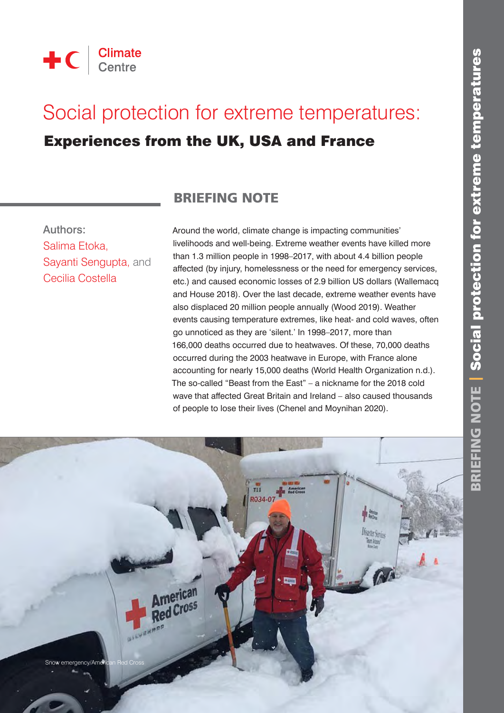

# Social protection for extreme temperatures:

# Experiences from the UK, USA and France

Authors: Salima Etoka, Sayanti Sengupta, and Cecilia Costella

## BRIEFING NOTE

Around the world, climate change is impacting communities' livelihoods and well-being. Extreme weather events have killed more than 1.3 million people in 1998–2017, with about 4.4 billion people affected (by injury, homelessness or the need for emergency services, etc.) and caused economic losses of 2.9 billion US dollars (Wallemacq and House 2018). Over the last decade, extreme weather events have also displaced 20 million people annually (Wood 2019). Weather events causing temperature extremes, like heat- and cold waves, often go unnoticed as they are 'silent.' In 1998–2017, more than 166,000 deaths occurred due to heatwaves. Of these, 70,000 deaths occurred during the 2003 heatwave in Europe, with France alone accounting for nearly 15,000 deaths (World Health Organization n.d.). The so-called "Beast from the East" – a nickname for the 2018 cold wave that affected Great Britain and Ireland – also caused thousands of people to lose their lives (Chenel and Moynihan 2020).

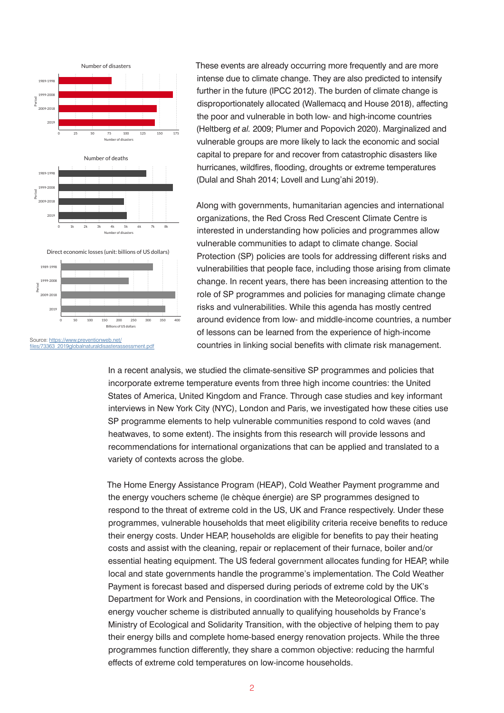

These events are already occurring more frequently and are more intense due to climate change. They are also predicted to intensify further in the future (IPCC 2012). The burden of climate change is disproportionately allocated (Wallemacq and House 2018), affecting the poor and vulnerable in both low- and high-income countries (Heltberg *et al.* 2009; Plumer and Popovich 2020). Marginalized and vulnerable groups are more likely to lack the economic and social capital to prepare for and recover from catastrophic disasters like hurricanes, wildfires, flooding, droughts or extreme temperatures (Dulal and Shah 2014; Lovell and Lung'ahi 2019).

Along with governments, humanitarian agencies and international organizations, the Red Cross Red Crescent Climate Centre is interested in understanding how policies and programmes allow vulnerable communities to adapt to climate change. Social Protection (SP) policies are tools for addressing different risks and vulnerabilities that people face, including those arising from climate change. In recent years, there has been increasing attention to the role of SP programmes and policies for managing climate change risks and vulnerabilities. While this agenda has mostly centred around evidence from low- and middle-income countries, a number of lessons can be learned from the experience of high-income countries in linking social benefits with climate risk management.

In a recent analysis, we studied the climate-sensitive SP programmes and policies that incorporate extreme temperature events from three high income countries: the United States of America, United Kingdom and France. Through case studies and key informant interviews in New York City (NYC), London and Paris, we investigated how these cities use SP programme elements to help vulnerable communities respond to cold waves (and heatwaves, to some extent). The insights from this research will provide lessons and recommendations for international organizations that can be applied and translated to a variety of contexts across the globe.

The Home Energy Assistance Program (HEAP), Cold Weather Payment programme and the energy vouchers scheme (le chèque énergie) are SP programmes designed to respond to the threat of extreme cold in the US, UK and France respectively. Under these programmes, vulnerable households that meet eligibility criteria receive benefits to reduce their energy costs. Under HEAP, households are eligible for benefits to pay their heating costs and assist with the cleaning, repair or replacement of their furnace, boiler and/or essential heating equipment. The US federal government allocates funding for HEAP, while local and state governments handle the programme's implementation. The Cold Weather Payment is forecast based and dispersed during periods of extreme cold by the UK's Department for Work and Pensions, in coordination with the Meteorological Office. The energy voucher scheme is distributed annually to qualifying households by France's Ministry of Ecological and Solidarity Transition, with the objective of helping them to pay their energy bills and complete home-based energy renovation projects. While the three programmes function differently, they share a common objective: reducing the harmful effects of extreme cold temperatures on low-income households.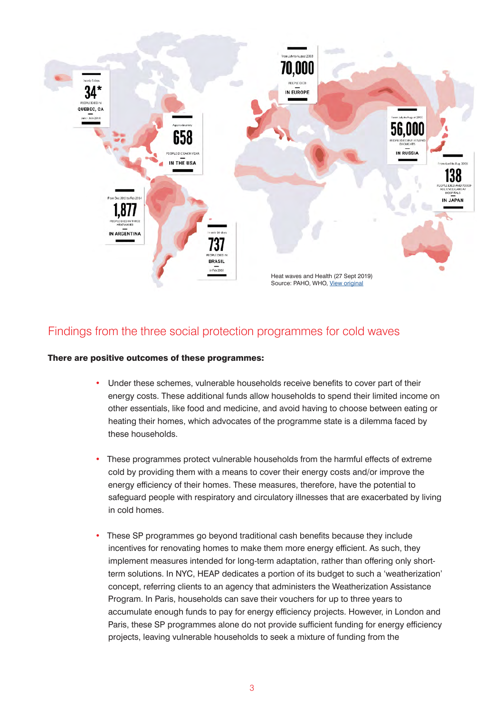

#### Findings from the three social protection programmes for cold waves

#### There are positive outcomes of these programmes:

- Under these schemes, vulnerable households receive benefits to cover part of their energy costs. These additional funds allow households to spend their limited income on other essentials, like food and medicine, and avoid having to choose between eating or heating their homes, which advocates of the programme state is a dilemma faced by these households.
- These programmes protect vulnerable households from the harmful effects of extreme cold by providing them with a means to cover their energy costs and/or improve the energy efficiency of their homes. These measures, therefore, have the potential to safeguard people with respiratory and circulatory illnesses that are exacerbated by living in cold homes.
- These SP programmes go beyond traditional cash benefits because they include incentives for renovating homes to make them more energy efficient. As such, they implement measures intended for long-term adaptation, rather than offering only shortterm solutions. In NYC, HEAP dedicates a portion of its budget to such a 'weatherization' concept, referring clients to an agency that administers the Weatherization Assistance Program. In Paris, households can save their vouchers for up to three years to accumulate enough funds to pay for energy efficiency projects. However, in London and Paris, these SP programmes alone do not provide sufficient funding for energy efficiency projects, leaving vulnerable households to seek a mixture of funding from the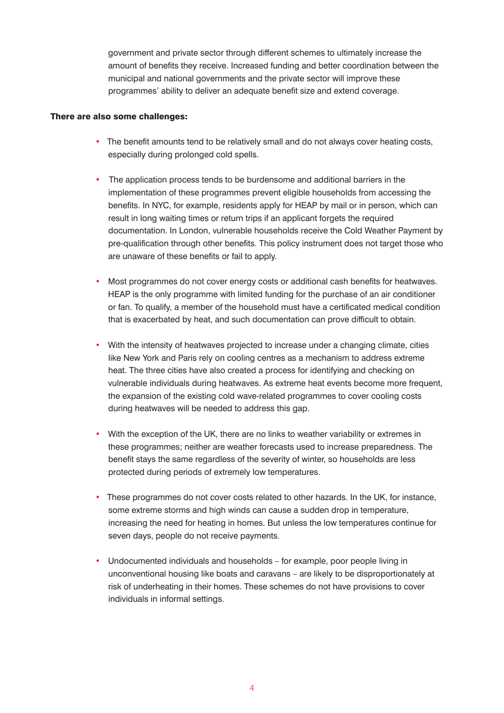government and private sector through different schemes to ultimately increase the amount of benefits they receive. Increased funding and better coordination between the municipal and national governments and the private sector will improve these programmes' ability to deliver an adequate benefit size and extend coverage.

#### There are also some challenges:

- The benefit amounts tend to be relatively small and do not always cover heating costs, especially during prolonged cold spells.
- The application process tends to be burdensome and additional barriers in the implementation of these programmes prevent eligible households from accessing the benefits. In NYC, for example, residents apply for HEAP by mail or in person, which can result in long waiting times or return trips if an applicant forgets the required documentation. In London, vulnerable households receive the Cold Weather Payment by pre-qualification through other benefits. This policy instrument does not target those who are unaware of these benefits or fail to apply.
- Most programmes do not cover energy costs or additional cash benefits for heatwaves. HEAP is the only programme with limited funding for the purchase of an air conditioner or fan. To qualify, a member of the household must have a certificated medical condition that is exacerbated by heat, and such documentation can prove difficult to obtain.
- With the intensity of heatwaves projected to increase under a changing climate, cities like New York and Paris rely on cooling centres as a mechanism to address extreme heat. The three cities have also created a process for identifying and checking on vulnerable individuals during heatwaves. As extreme heat events become more frequent, the expansion of the existing cold wave-related programmes to cover cooling costs during heatwaves will be needed to address this gap.
- With the exception of the UK, there are no links to weather variability or extremes in these programmes; neither are weather forecasts used to increase preparedness. The benefit stays the same regardless of the severity of winter, so households are less protected during periods of extremely low temperatures.
- These programmes do not cover costs related to other hazards. In the UK, for instance, some extreme storms and high winds can cause a sudden drop in temperature, increasing the need for heating in homes. But unless the low temperatures continue for seven days, people do not receive payments.
- Undocumented individuals and households for example, poor people living in unconventional housing like boats and caravans – are likely to be disproportionately at risk of underheating in their homes. These schemes do not have provisions to cover individuals in informal settings.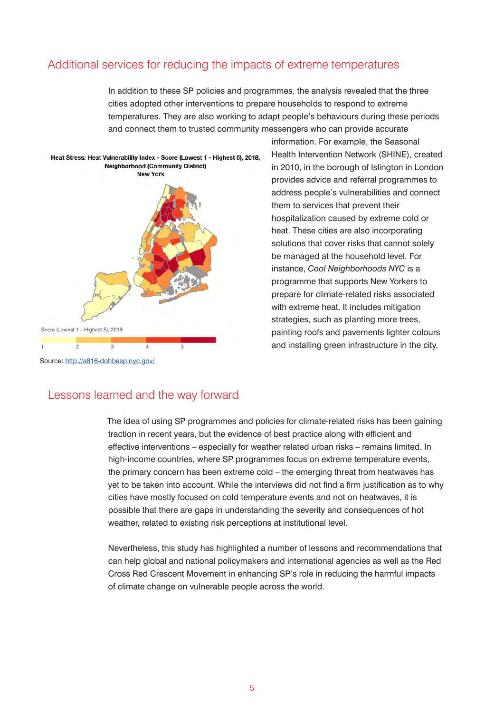#### Additional services for reducing the impacts of extreme temperatures

In addition to these SP policies and programmes, the analysis revealed that the three cities adopted other interventions to prepare households to respond to extreme temperatures. They are also working to adapt people's behaviours during these periods and connect them to trusted community messengers who can provide accurate



information. For example, the Seasonal Health Intervention Network (SHINE), created in 2010, in the borough of Islington in London provides advice and referral programmes to address people's vulnerabilities and connect them to services that prevent their hospitalization caused by extreme cold or heat. These cities are also incorporating solutions that cover risks that cannot solely be managed at the household level. For instance, *Cool Neighborhoods NYC* is a programme that supports New Yorkers to prepare for climate-related risks associated with extreme heat. It includes mitigation strategies, such as planting more trees, painting roofs and pavements lighter colours and installing green infrastructure in the city.

#### Lessons learned and the way forward

The idea of using SP programmes and policies for climate-related risks has been gaining traction in recent years, but the evidence of best practice along with efficient and effective interventions – especially for weather related urban risks – remains limited. In high-income countries, where SP programmes focus on extreme temperature events, the primary concern has been extreme cold – the emerging threat from heatwaves has yet to be taken into account. While the interviews did not find a firm justification as to why cities have mostly focused on cold temperature events and not on heatwaves, it is possible that there are gaps in understanding the severity and consequences of hot weather, related to existing risk perceptions at institutional level.

Nevertheless, this study has highlighted a number of lessons and recommendations that can help global and national policymakers and international agencies as well as the Red Cross Red Crescent Movement in enhancing SP's role in reducing the harmful impacts of climate change on vulnerable people across the world.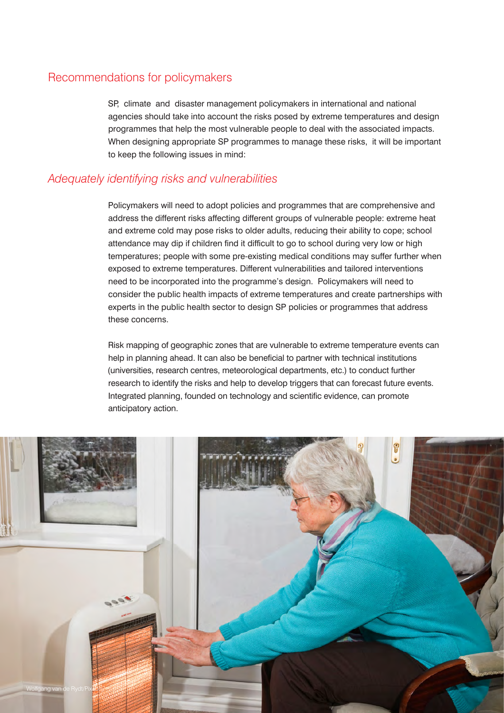#### Recommendations for policymakers

SP, climate and disaster management policymakers in international and national agencies should take into account the risks posed by extreme temperatures and design programmes that help the most vulnerable people to deal with the associated impacts. When designing appropriate SP programmes to manage these risks, it will be important to keep the following issues in mind:

#### *Adequately identifying risks and vulnerabilities*

Policymakers will need to adopt policies and programmes that are comprehensive and address the different risks affecting different groups of vulnerable people: extreme heat and extreme cold may pose risks to older adults, reducing their ability to cope; school attendance may dip if children find it difficult to go to school during very low or high temperatures; people with some pre-existing medical conditions may suffer further when exposed to extreme temperatures. Different vulnerabilities and tailored interventions need to be incorporated into the programme's design. Policymakers will need to consider the public health impacts of extreme temperatures and create partnerships with experts in the public health sector to design SP policies or programmes that address these concerns.

Risk mapping of geographic zones that are vulnerable to extreme temperature events can help in planning ahead. It can also be beneficial to partner with technical institutions (universities, research centres, meteorological departments, etc.) to conduct further research to identify the risks and help to develop triggers that can forecast future events. Integrated planning, founded on technology and scientific evidence, can promote anticipatory action.

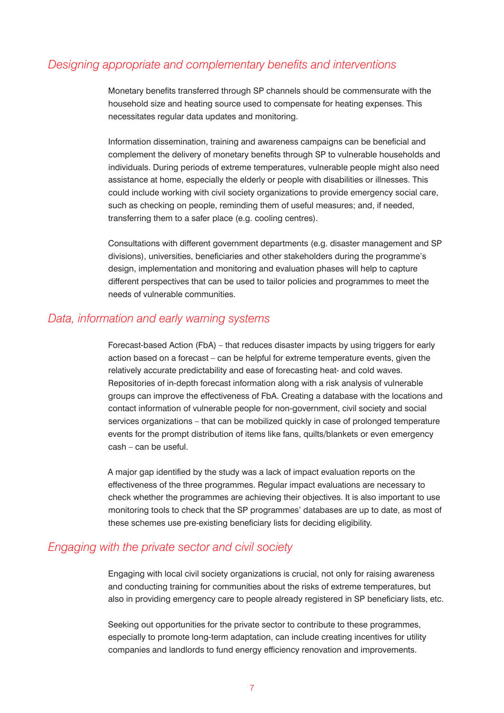#### *Designing appropriate and complementary benefits and interventions*

Monetary benefits transferred through SP channels should be commensurate with the household size and heating source used to compensate for heating expenses. This necessitates regular data updates and monitoring.

Information dissemination, training and awareness campaigns can be beneficial and complement the delivery of monetary benefits through SP to vulnerable households and individuals. During periods of extreme temperatures, vulnerable people might also need assistance at home, especially the elderly or people with disabilities or illnesses. This could include working with civil society organizations to provide emergency social care, such as checking on people, reminding them of useful measures; and, if needed, transferring them to a safer place (e.g. cooling centres).

Consultations with different government departments (e.g. disaster management and SP divisions), universities, beneficiaries and other stakeholders during the programme's design, implementation and monitoring and evaluation phases will help to capture different perspectives that can be used to tailor policies and programmes to meet the needs of vulnerable communities.

#### *Data, information and early warning systems*

Forecast-based Action (FbA) – that reduces disaster impacts by using triggers for early action based on a forecast – can be helpful for extreme temperature events, given the relatively accurate predictability and ease of forecasting heat- and cold waves. Repositories of in-depth forecast information along with a risk analysis of vulnerable groups can improve the effectiveness of FbA. Creating a database with the locations and contact information of vulnerable people for non-government, civil society and social services organizations – that can be mobilized quickly in case of prolonged temperature events for the prompt distribution of items like fans, quilts/blankets or even emergency cash – can be useful.

A major gap identified by the study was a lack of impact evaluation reports on the effectiveness of the three programmes. Regular impact evaluations are necessary to check whether the programmes are achieving their objectives. It is also important to use monitoring tools to check that the SP programmes' databases are up to date, as most of these schemes use pre-existing beneficiary lists for deciding eligibility.

#### *Engaging with the private sector and civil society*

Engaging with local civil society organizations is crucial, not only for raising awareness and conducting training for communities about the risks of extreme temperatures, but also in providing emergency care to people already registered in SP beneficiary lists, etc.

Seeking out opportunities for the private sector to contribute to these programmes, especially to promote long-term adaptation, can include creating incentives for utility companies and landlords to fund energy efficiency renovation and improvements.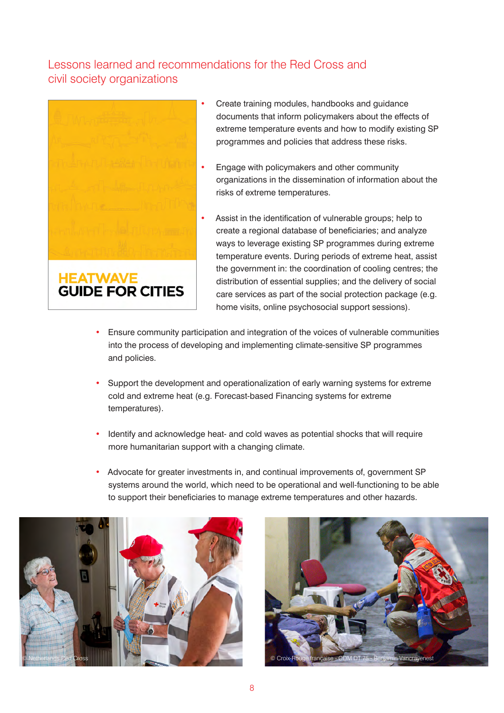### Lessons learned and recommendations for the Red Cross and civil society organizations



- Create training modules, handbooks and guidance documents that inform policymakers about the effects of extreme temperature events and how to modify existing SP programmes and policies that address these risks.
- Engage with policymakers and other community organizations in the dissemination of information about the risks of extreme temperatures.
- Assist in the identification of vulnerable groups; help to create a regional database of beneficiaries; and analyze ways to leverage existing SP programmes during extreme temperature events. During periods of extreme heat, assist the government in: the coordination of cooling centres; the distribution of essential supplies; and the delivery of social care services as part of the social protection package (e.g. home visits, online psychosocial support sessions).
- Ensure community participation and integration of the voices of vulnerable communities into the process of developing and implementing climate-sensitive SP programmes and policies.
- Support the development and operationalization of early warning systems for extreme cold and extreme heat (e.g. Forecast-based Financing systems for extreme temperatures).
- Identify and acknowledge heat- and cold waves as potential shocks that will require more humanitarian support with a changing climate.
- Advocate for greater investments in, and continual improvements of, government SP systems around the world, which need to be operational and well-functioning to be able to support their beneficiaries to manage extreme temperatures and other hazards.